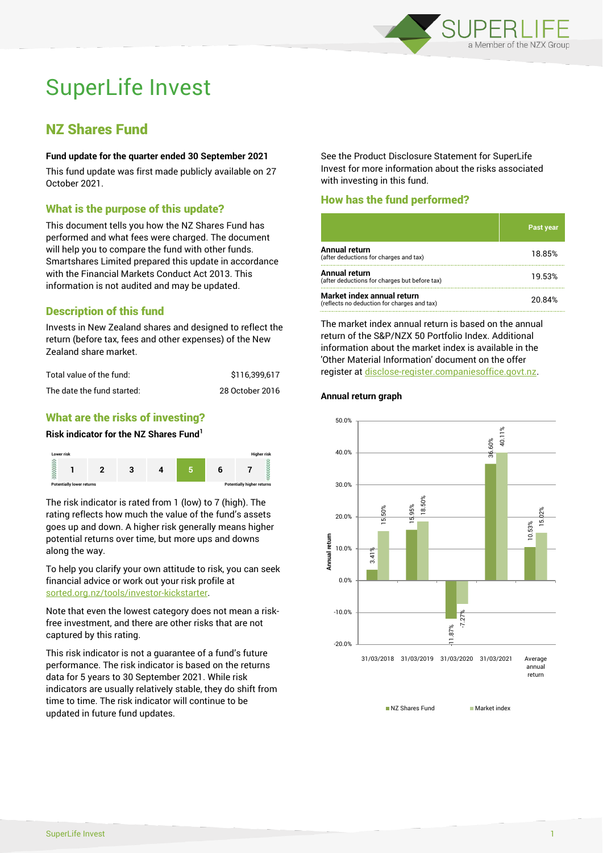

# SuperLife Invest

# NZ Shares Fund

#### **Fund update for the quarter ended 30 September 2021**

This fund update was first made publicly available on 27 October 2021.

# What is the purpose of this update?

This document tells you how the NZ Shares Fund has performed and what fees were charged. The document will help you to compare the fund with other funds. Smartshares Limited prepared this update in accordance with the Financial Markets Conduct Act 2013. This information is not audited and may be updated.

# Description of this fund

Invests in New Zealand shares and designed to reflect the return (before tax, fees and other expenses) of the New Zealand share market.

| Total value of the fund:   | \$116.399.617   |
|----------------------------|-----------------|
| The date the fund started: | 28 October 2016 |

# What are the risks of investing?

#### **Risk indicator for the NZ Shares Fund<sup>1</sup>**



The risk indicator is rated from 1 (low) to 7 (high). The rating reflects how much the value of the fund's assets goes up and down. A higher risk generally means higher potential returns over time, but more ups and downs along the way.

To help you clarify your own attitude to risk, you can seek financial advice or work out your risk profile at [sorted.org.nz/tools/investor-kickstarter.](http://www.sorted.org.nz/tools/investor-kickstarter)

Note that even the lowest category does not mean a riskfree investment, and there are other risks that are not captured by this rating.

This risk indicator is not a guarantee of a fund's future performance. The risk indicator is based on the returns data for 5 years to 30 September 2021. While risk indicators are usually relatively stable, they do shift from time to time. The risk indicator will continue to be updated in future fund updates.

See the Product Disclosure Statement for SuperLife Invest for more information about the risks associated with investing in this fund.

# How has the fund performed?

|                                                                           | 'Past year |
|---------------------------------------------------------------------------|------------|
| <b>Annual return</b><br>(after deductions for charges and tax)            | 18.85%     |
| <b>Annual return</b><br>(after deductions for charges but before tax)     | 19.53%     |
| Market index annual return<br>(reflects no deduction for charges and tax) | 20.84%     |

The market index annual return is based on the annual return of the S&P/NZX 50 Portfolio Index. Additional information about the market index is available in the 'Other Material Information' document on the offer register a[t disclose-register.companiesoffice.govt.nz.](http://www.disclose-register.companiesoffice.govt.nz/)

#### **Annual return graph**



NZ Shares Fund Market index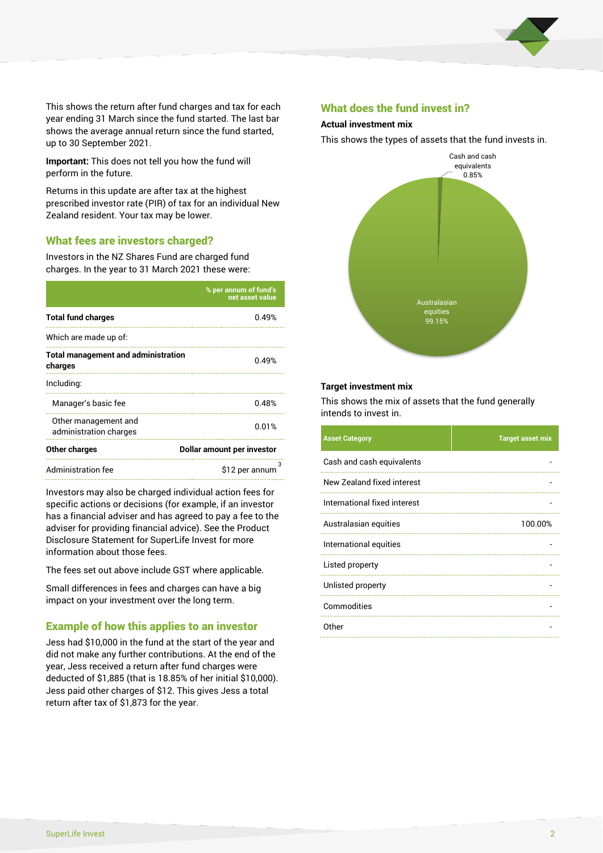

This shows the return after fund charges and tax for each year ending 31 March since the fund started. The last bar shows the average annual return since the fund started, up to 30 September 2021.

**Important:** This does not tell you how the fund will perform in the future.

Returns in this update are after tax at the highest prescribed investor rate (PIR) of tax for an individual New Zealand resident. Your tax may be lower.

# What fees are investors charged?

Investors in the NZ Shares Fund are charged fund charges. In the year to 31 March 2021 these were:

|                                                       | % per annum of fund's<br>net asset value |  |
|-------------------------------------------------------|------------------------------------------|--|
| <b>Total fund charges</b>                             | 0.49%                                    |  |
| Which are made up of:                                 |                                          |  |
| <b>Total management and administration</b><br>charges | 0.49%                                    |  |
| Including:                                            |                                          |  |
| Manager's basic fee                                   | 0.48%                                    |  |
| Other management and<br>administration charges        | 0.01%                                    |  |
| Other charges                                         | Dollar amount per investor               |  |
| <b>Administration fee</b>                             | \$12 per annum                           |  |

Investors may also be charged individual action fees for specific actions or decisions (for example, if an investor has a financial adviser and has agreed to pay a fee to the adviser for providing financial advice). See the Product Disclosure Statement for SuperLife Invest for more information about those fees.

The fees set out above include GST where applicable.

Small differences in fees and charges can have a big impact on your investment over the long term.

# Example of how this applies to an investor

Jess had \$10,000 in the fund at the start of the year and did not make any further contributions. At the end of the year, Jess received a return after fund charges were deducted of \$1,885 (that is 18.85% of her initial \$10,000). Jess paid other charges of \$12. This gives Jess a total return after tax of \$1,873 for the year.

#### What does the fund invest in?

#### **Actual investment mix**

This shows the types of assets that the fund invests in.



#### **Target investment mix**

This shows the mix of assets that the fund generally intends to invest in.

| <b>Asset Category</b>        | <b>Target asset mix</b> |
|------------------------------|-------------------------|
| Cash and cash equivalents    |                         |
| New Zealand fixed interest   |                         |
| International fixed interest |                         |
| Australasian equities        | 100.00%                 |
| International equities       |                         |
| Listed property              |                         |
| Unlisted property            |                         |
| Commodities                  |                         |
| Other                        |                         |